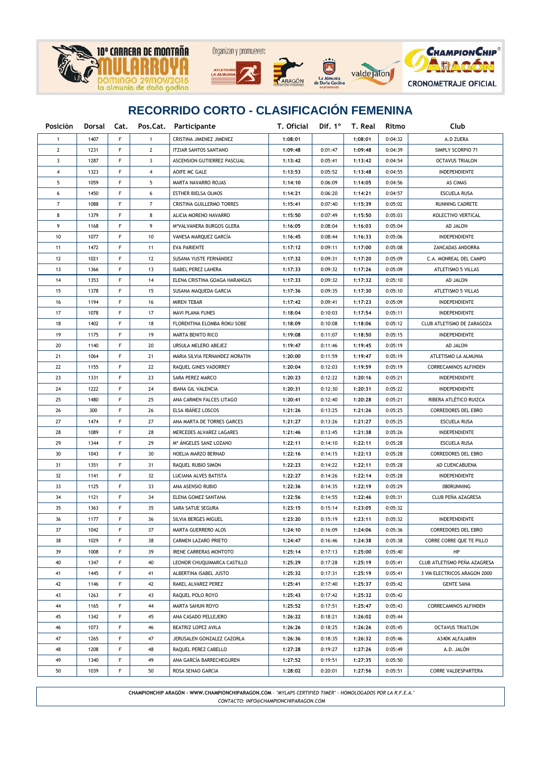

## **RECORRIDO CORTO - CLASIFICACIÓN FEMENINA**

| <b>Posición</b> |      |    |                | Dorsal Cat. Pos.Cat. Participante | T. Oficial |         | Dif. $1^\circ$ T. Real | Ritmo   | Club                         |
|-----------------|------|----|----------------|-----------------------------------|------------|---------|------------------------|---------|------------------------------|
| 1               | 1407 | F  | $\mathbf{1}$   | CRISTINA JIMENEZ JIMENEZ          | 1:08:01    |         | 1:08:01                | 0:04:32 | A.D ZUERA                    |
| $\mathbf{2}$    | 1231 | F  | $\mathbf{2}$   | <b>ITZIAR SANTOS SANTANO</b>      | 1:09:48    | 0:01:47 | 1:09:48                | 0:04:39 | SIMPLY SCORPIO 71            |
| 3               | 1287 | F  | 3              | ASCENSION GUTIERREZ PASCUAL       | 1:13:42    | 0:05:41 | 1:13:42                | 0:04:54 | <b>OCTAVUS TRIALON</b>       |
| 4               | 1323 | F  | 4              | AOIFE MC GALE                     | 1:13:53    | 0:05:52 | 1:13:48                | 0:04:55 | INDEPENDIENTE                |
| 5               | 1059 | F  | 5              | MARTA NAVARRO ROJAS               | 1:14:10    | 0:06:09 | 1:14:05                | 0:04:56 | AS CIMAS                     |
| 6               | 1450 | F  | 6              | ESTHER BIELSA OLMOS               | 1:14:21    | 0:06:20 | 1:14:21                | 0:04:57 | ESCUELA RUSA                 |
| 7               | 1088 | F  | $\overline{7}$ | CRISTINA GUILLERMO TORRES         | 1:15:41    | 0:07:40 | 1:15:39                | 0:05:02 | RUNNING CADRETE              |
| 8               | 1379 | F  | 8              | ALICIA MORENO NAVARRO             | 1:15:50    | 0:07:49 | 1:15:50                | 0:05:03 | KOLECTIVO VERTICAL           |
| 9               | 1168 | F  | 9              | MªVALVANERA BURGOS GLERA          | 1:16:05    | 0:08:04 | 1:16:03                | 0:05:04 | AD JALON                     |
| 10              | 1077 | F  | 10             | VANESA MARQUEZ GARCÍA             | 1:16:45    | 0:08:44 | 1:16:33                | 0:05:06 | INDEPENDIENTE                |
| 11              | 1472 | F  | 11             | EVA PARIENTE                      | 1:17:12    | 0:09:11 | 1:17:00                | 0:05:08 | ZANCADAS ANDORRA             |
| 12              | 1021 | F  | 12             | SUSANA YUSTE FERNÁNDEZ            | 1:17:32    | 0:09:31 | 1:17:20                | 0:05:09 | C.A. MONREAL DEL CAMPO       |
| 13              | 1366 | F  | 13             | <b>ISABEL PEREZ LAHERA</b>        | 1:17:33    | 0:09:32 | 1:17:26                | 0:05:09 | ATLETISMO 5 VILLAS           |
| 14              | 1353 | F  | 14             | ELENA CRISTINA GOAGA HARANGUS     | 1:17:33    | 0:09:32 | 1:17:32                | 0:05:10 | AD JALON                     |
| 15              | 1378 | F  | 15             | SUSANA MAQUEDA GARCIA             | 1:17:36    | 0:09:35 | 1:17:30                | 0:05:10 | ATLETISMO 5 VILLAS           |
| 16              | 1194 | F  | 16             | <b>MIREN TEBAR</b>                | 1:17:42    | 0:09:41 | 1:17:23                | 0:05:09 | INDEPENDIENTE                |
| 17              | 1078 | F  | 17             | MAVI PLANA FUNES                  | 1:18:04    | 0:10:03 | 1:17:54                | 0:05:11 | INDEPENDIENTE                |
| 18              | 1402 | F  | 18             | FLORENTINA ELOMBA ROKU SOBE       | 1:18:09    | 0:10:08 | 1:18:06                | 0:05:12 | CLUB ATLETISMO DE ZARAGOZA   |
| 19              | 1175 | F  | 19             | <b>MARTA BENITO RICO</b>          | 1:19:08    | 0:11:07 | 1:18:50                | 0:05:15 | INDEPENDIENTE                |
| 20              | 1140 | F  | 20             | URSULA MELERO ABEJEZ              | 1:19:47    | 0:11:46 | 1:19:45                | 0:05:19 | AD JALON                     |
| 21              | 1064 | F  | 21             | MARIA SILVIA FERNANDEZ MORATIN    | 1:20:00    | 0:11:59 | 1:19:47                | 0:05:19 | ATLETISMO LA ALMUNIA         |
| 22              | 1155 | F  | 22             | RAQUEL GINES VADORREY             | 1:20:04    | 0:12:03 | 1:19:59                | 0:05:19 | CORRECAMINOS ALFINDEN        |
| 23              | 1331 | F  | 23             | SARA PEREZ MARCO                  | 1:20:23    | 0:12:22 | 1:20:16                | 0:05:21 | INDEPENDIENTE                |
| 24              | 1222 | F  | 24             | IBANA GIL VALENCIA                | 1:20:31    | 0:12:30 | 1:20:31                | 0:05:22 | INDEPENDIENTE                |
| 25              | 1480 | F  | 25             | ANA CARMEN FALCES LITAGO          | 1:20:41    | 0:12:40 | 1:20:28                | 0:05:21 | RIBERA ATLÉTICO RUIZCA       |
| 26              | 300  | F  | 26             | ELSA IBÁÑEZ LOSCOS                | 1:21:26    | 0:13:25 | 1:21:26                | 0:05:25 | CORREDORES DEL EBRO          |
| 27              | 1474 | F  | 27             | ANA MARTA DE TORRES GARCES        | 1:21:27    | 0:13:26 | 1:21:27                | 0:05:25 | <b>ESCUELA RUSA</b>          |
| 28              | 1089 | F  | 28             | MERCEDES ALVAREZ LAGARES          | 1:21:46    | 0:13:45 | 1:21:38                | 0:05:26 | INDEPENDIENTE                |
| 29              | 1344 | F  | 29             | Mª ÁNGELES SANZ LOZANO            | 1:22:11    | 0:14:10 | 1:22:11                | 0:05:28 | <b>ESCUELA RUSA</b>          |
| 30              | 1043 | F  | 30             | NOELIA MARZO BERNAD               | 1:22:16    | 0:14:15 | 1:22:13                | 0:05:28 | CORREDORES DEL EBRO          |
| 31              | 1351 | F  | 31             | RAQUEL RUBIO SIMON                | 1:22:23    | 0:14:22 | 1:22:11                | 0:05:28 | AD CUENCABUENA               |
| 32              | 1141 | F  | 32             | LUCIANA ALVES BATISTA             | 1:22:27    | 0:14:26 | 1:22:14                | 0:05:28 | INDEPENDIENTE                |
| 33              | 1125 | F  | 33             | ANA ASENSIO RUBIO                 | 1:22:36    | 0:14:35 | 1:22:19                | 0:05:29 | 080RUNNING                   |
| 34              | 1121 | F  | 34             | ELENA GOMEZ SANTANA               | 1:22:56    | 0:14:55 | 1:22:46                | 0:05:31 | CLUB PEÑA AZAGRESA           |
| 35              | 1363 | F  | 35             | SARA SATUE SEGURA                 | 1:23:15    | 0:15:14 | 1:23:05                | 0:05:32 |                              |
| 36              | 1177 | F  | 36             | SILVIA BERGES MIGUEL              | 1:23:20    | 0:15:19 | 1:23:11                | 0:05:32 | INDEPENDIENTE                |
| 37              | 1042 | F. | 37             | MARTA GUERRERO ALOS               | 1:24:10    | 0:16:09 | 1:24:06                | 0:05:36 | CORREDORES DEL EBRO          |
| 38              | 1029 | F  | 38             | CARMEN LAZARO PRIETO              | 1:24:47    | 0:16:46 | 1:24:38                | 0:05:38 | CORRE CORRE QUE TE PILLO     |
| 39              | 1008 | F  | 39             | <b>IRENE CARRERAS MONTOTO</b>     | 1:25:14    | 0:17:13 | 1:25:00                | 0:05:40 | HP                           |
| 40              | 1347 | F  | 40             | LEONOR CHUQUIMARCA CASTILLO       | 1:25:29    | 0:17:28 | 1:25:19                | 0:05:41 | CLUB ATLETISMO PEÑA AZAGRESA |
| 41              | 1445 | F  | 41             | ALBERTINA ISABEL JUSTO            | 1:25:32    | 0:17:31 | 1:25:19                | 0:05:41 | 3 VM ELECTRICOS ARAGON 2000  |
| 42              | 1146 | F  | 42             | RAKEL ALVAREZ PEREZ               | 1:25:41    | 0:17:40 | 1:25:37                | 0:05:42 | <b>GENTE SANA</b>            |
| 43              | 1263 | F  | 43             | RAQUEL POLO ROYO                  | 1:25:43    | 0:17:42 | 1:25:32                | 0:05:42 |                              |
| 44              | 1165 | F  | 44             | MARTA SAHUN ROYO                  | 1:25:52    | 0:17:51 | 1:25:47                | 0:05:43 | CORRECAMINOS ALFINDEN        |
| 45              | 1342 | F  | 45             | ANA CASADO PELLEJERO              | 1:26:22    | 0:18:21 | 1:26:02                | 0:05:44 |                              |
| 46              | 1073 | F  | 46             | BEATRIZ LOPEZ AVILA               | 1:26:26    | 0:18:25 | 1:26:26                | 0:05:45 | <b>OCTAVUS TRIATLON</b>      |
| 47              | 1265 | F  | 47             | JERUSALEN GONZALEZ CAZORLA        | 1:26:36    | 0:18:35 | 1:26:32                | 0:05:46 | A340K ALFAJARIN              |
| 48              | 1208 | F  | 48             | RAQUEL PEREZ CABELLO              | 1:27:28    | 0:19:27 | 1:27:26                | 0:05:49 | A.D. JALÓN                   |
| 49              | 1340 | F  | 49             | ANA GARCÍA BARRECHEGUREN          | 1:27:52    | 0:19:51 | 1:27:35                | 0:05:50 |                              |
| 50              | 1039 | F  | 50             | ROSA SENAO GARCIA                 | 1:28:02    | 0:20:01 | 1:27:56                | 0:05:51 | CORRE VALDESPARTERA          |

**CHAMPIONCHIP ARAGÓN - WWW.CHAMPIONCHIPARAGON.COM** - *"MYLAPS CERTIFIED TIMER" - HOMOLOGADOS POR LA R.F.E.A." CONTACTO: INFO@CHAMPIONCHIPARAGON.COM*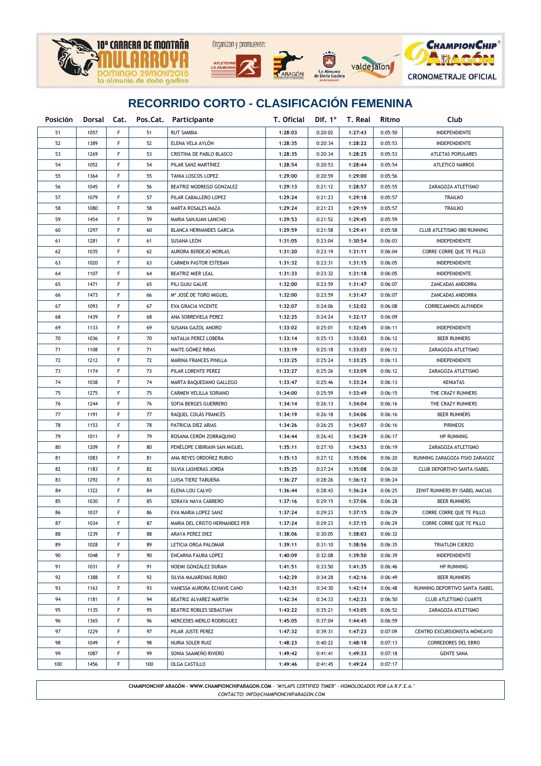





La Almunia<br>Doña God



## **RECORRIDO CORTO - CLASIFICACIÓN FEMENINA**

| Posición |      |    |     | Dorsal Cat. Pos.Cat. Participante | T. Oficial |         | Dif. $1^{\circ}$ T. Real | Ritmo   | Club                               |
|----------|------|----|-----|-----------------------------------|------------|---------|--------------------------|---------|------------------------------------|
| 51       | 1057 | F  | 51  | <b>RUT SAMBIA</b>                 | 1:28:03    | 0:20:02 | 1:27:43                  | 0:05:50 | INDEPENDIENTE                      |
| 52       | 1389 | F  | 52  | ELENA VELA AYLÓN                  | 1:28:35    | 0:20:34 | 1:28:22                  | 0:05:53 | INDEPENDIENTE                      |
| 53       | 1269 | F  | 53  | CRISTINA DE PABLO BLASCO          | 1:28:35    | 0:20:34 | 1:28:25                  | 0:05:53 | ATLETAS POPULARES                  |
| 54       | 1052 | F  | 54  | PILAR SANZ MARTÍNEZ               | 1:28:54    | 0:20:53 | 1:28:44                  | 0:05:54 | ATLETICO NARROS                    |
| 55       | 1364 | F  | 55  | TANIA LOSCOS LOPEZ                | 1:29:00    | 0:20:59 | 1:29:00                  | 0:05:56 |                                    |
| 56       | 1045 | F  | 56  | BEATRIZ MODREGO GONZALEZ          | 1:29:13    | 0:21:12 | 1:28:57                  | 0:05:55 | ZARAGOZA ATLETISMO                 |
| 57       | 1079 | F  | 57  | PILAR CABALLERO LOPEZ             | 1:29:24    | 0:21:23 | 1:29:18                  | 0:05:57 | <b>TRAILKO</b>                     |
| 58       | 1080 | F  | 58  | MARTA ROSALES MAZA                | 1:29:24    | 0:21:23 | 1:29:19                  | 0:05:57 | <b>TRAILKO</b>                     |
| 59       | 1454 | F  | 59  | MARIA SANJUAN LANCHO              | 1:29:53    | 0:21:52 | 1:29:45                  | 0:05:59 |                                    |
| 60       | 1297 | F  | 60  | BLANCA HERNANDES GARCIA           | 1:29:59    | 0:21:58 | 1:29:41                  | 0:05:58 | CLUB ATLETISMO 080 RUNNING         |
| 61       | 1281 | F  | 61  | SUSANA LEON                       | 1:31:05    | 0:23:04 | 1:30:54                  | 0:06:03 | INDEPENDIENTE                      |
| 62       | 1035 | F  | 62  | AURORA BERDEJO MORLAS             | 1:31:20    | 0:23:19 | 1:31:11                  | 0:06:04 | CORRE CORRE QUE TE PILLO           |
| 63       | 1020 | F  | 63  | <b>CARMEN PASTOR ESTEBAN</b>      | 1:31:32    | 0:23:31 | 1:31:15                  | 0:06:05 | INDEPENDIENTE                      |
| 64       | 1107 | F  | 64  | BEATRIZ MIER LEAL                 | 1:31:33    | 0:23:32 | 1:31:18                  | 0:06:05 | INDEPENDIENTE                      |
| 65       | 1471 | F  | 65  | PILI GUIU GALVE                   | 1:32:00    | 0:23:59 | 1:31:47                  | 0:06:07 | ZANCADAS ANDORRA                   |
| 66       | 1473 | F  | 66  | Mª JOSÉ DE TORO MIGUEL            | 1:32:00    | 0:23:59 | 1:31:47                  | 0:06:07 | ZANCADAS ANDORRA                   |
| 67       | 1093 | F  | 67  | EVA GRACIA VICENTE                | 1:32:07    | 0:24:06 | 1:32:02                  | 0:06:08 | <b>CORRECAMINOS ALFINDEN</b>       |
| 68       | 1439 | F  | 68  | ANA SOBREVIELA PEREZ              | 1:32:25    | 0:24:24 | 1:32:17                  | 0:06:09 |                                    |
| 69       | 1133 | F  | 69  | SUSANA GAZOL ANORO                | 1:33:02    | 0:25:01 | 1:32:45                  | 0:06:11 | INDEPENDIENTE                      |
| 70       | 1036 | F  | 70  | NATALIA PEREZ LOBERA              | 1:33:14    | 0:25:13 | 1:33:03                  | 0:06:12 | <b>BEER RUNNERS</b>                |
| 71       | 1108 | F  | 71  | MAITE GÓMEZ RIBAS                 | 1:33:19    | 0:25:18 | 1:33:03                  | 0:06:12 | ZARAGOZA ATLETISMO                 |
| 72       | 1212 | F  | 72  | MARINA FRANCES PINILLA            | 1:33:25    | 0:25:24 | 1:33:25                  | 0:06:13 | INDEPENDIENTE                      |
| 73       | 1174 | F  | 73  | PILAR LORENTE PEREZ               | 1:33:27    | 0:25:26 | 1:33:09                  | 0:06:12 | ZARAGOZA ATLETISMO                 |
| 74       | 1038 | F  | 74  | MARTA BAQUEDANO GALLEGO           | 1:33:47    | 0:25:46 | 1:33:24                  | 0:06:13 | <b>KENIATAS</b>                    |
| 75       | 1275 | F  | 75  | CARMEN VELILLA SORIANO            | 1:34:00    | 0:25:59 | 1:33:49                  | 0:06:15 | THE CRAZY RUNNERS                  |
| 76       | 1244 | F  | 76  | SOFIA BERGES GUERRERO             | 1:34:14    | 0:26:13 | 1:34:04                  | 0:06:16 | THE CRAZY RUNNERS                  |
| 77       | 1191 | F  | 77  | RAQUEL COLÁS FRANCÉS              | 1:34:19    | 0:26:18 | 1:34:06                  | 0:06:16 | <b>BEER RUNNERS</b>                |
| 78       | 1153 | F  | 78  | PATRICIA DÍEZ ARIAS               | 1:34:26    | 0:26:25 | 1:34:07                  | 0:06:16 | <b>PIRINEOS</b>                    |
| 79       | 1011 | F  | 79  | ROSANA CERÓN ZORRAQUINO           | 1:34:44    | 0:26:43 | 1:34:29                  | 0:06:17 | <b>HP RUNNING</b>                  |
| 80       | 1209 | F  | 80  | PENÉLOPE CIBIRIAIN SAN MIGUEL     | 1:35:11    | 0:27:10 | 1:34:53                  | 0:06:19 | ZARAGOZA ATLETISMO                 |
| 81       | 1083 | F  | 81  | ANA REYES ORDOÑEZ RUBIO           | 1:35:13    | 0:27:12 | 1:35:06                  | 0:06:20 | RUNNING ZARAGOZA FISIO ZARAGOZ     |
| 82       | 1183 | F  | 82  | SILVIA LASHERAS JORDA             | 1:35:25    | 0:27:24 | 1:35:08                  | 0:06:20 | <b>CLUB DEPORTIVO SANTA ISABEL</b> |
| 83       | 1292 | F  | 83  | LUISA TIERZ TABUEÑA               | 1:36:27    | 0:28:26 | 1:36:12                  | 0:06:24 |                                    |
| 84       | 1322 | F  | 84  | ELENA LOU CALVO                   | 1:36:44    | 0:28:43 | 1:36:24                  | 0:06:25 | ZENIT RUNNERS BY ISABEL MACIAS     |
| 85       | 1030 | F  | 85  | SORAYA NAYA CABRERO               | 1:37:16    | 0:29:15 | 1:37:06                  | 0:06:28 | <b>BEER RUNNERS</b>                |
| 86       | 1037 | F  | 86  | EVA MARIA LOPEZ SANZ              | 1:37:24    | 0:29:23 | 1:37:15                  | 0:06:29 | CORRE CORRE QUE TE PILLO           |
| 87       | 1034 | F. | 87  | MARIA DEL CRISTO HERNANDEZ PER    | 1:37:24    | 0:29:23 | 1:37:15                  | 0:06:29 | CORRE CORRE QUE TE PILLO           |
| 88       | 1239 | F  | 88  | ARAYA PEREZ DIEZ                  | 1:38:06    | 0:30:05 | 1:38:03                  | 0:06:32 |                                    |
| 89       | 1028 | F  | 89  | LETICIA ORGA PALOMAR              | 1:39:11    | 0:31:10 | 1:38:56                  | 0:06:35 | TRIATLON CIERZO                    |
| 90       | 1048 | F  | 90  | ENCARNA FAURA LOPEZ               | 1:40:09    | 0:32:08 | 1:39:50                  | 0:06:39 | INDEPENDIENTE                      |
| 91       | 1031 | F  | 91  | NOEMI GONZÁLEZ DURAN              | 1:41:51    | 0:33:50 | 1:41:35                  | 0:06:46 | <b>HP RUNNING</b>                  |
| 92       | 1388 | F  | 92  | SILVIA MAJARENAS RUBIO            | 1:42:29    | 0:34:28 | 1:42:16                  | 0:06:49 | <b>BEER RUNNERS</b>                |
| 93       | 1163 | F  | 93  | VANESSA AURORA ECHAVE CANO        | 1:42:31    | 0:34:30 | 1:42:14                  | 0:06:48 | RUNNING DEPORTIVO SANTA ISABEL     |
| 94       | 1181 | F  | 94  | BEATRIZ ÁLVAREZ MARTÍN            | 1:42:34    | 0:34:33 | 1:42:33                  | 0:06:50 | CLUB ATLETISMO CUARTE              |
| 95       | 1135 | F  | 95  | BEATRIZ ROBLES SEBASTIAN          | 1:43:22    | 0:35:21 | 1:43:05                  | 0:06:52 | ZARAGOZA ATLETISMO                 |
| 96       | 1365 | F  | 96  | MERCEDES MERLO RODRIGUEZ          | 1:45:05    | 0:37:04 | 1:44:45                  | 0:06:59 |                                    |
| 97       | 1229 | F  | 97  | PILAR JUSTE PEREZ                 | 1:47:32    | 0:39:31 | 1:47:23                  | 0:07:09 | CENTRO EXCURSIONISTA MONCAYO       |
| 98       | 1049 | F  | 98  | NURIA SOLER RUIZ                  | 1:48:23    | 0:40:22 | 1:48:18                  | 0:07:13 | CORREDORES DEL EBRO                |
| 99       | 1087 | F  | 99  | SONIA SAAMEÑO RIVERO              | 1:49:42    | 0:41:41 | 1:49:33                  | 0:07:18 | <b>GENTE SANA</b>                  |
| 100      | 1456 | F  | 100 | OLGA CASTILLO                     | 1:49:46    | 0:41:45 | 1:49:24                  | 0:07:17 |                                    |

**CHAMPIONCHIP ARAGÓN - WWW.CHAMPIONCHIPARAGON.COM** - *"MYLAPS CERTIFIED TIMER" - HOMOLOGADOS POR LA R.F.E.A." CONTACTO: INFO@CHAMPIONCHIPARAGON.COM*